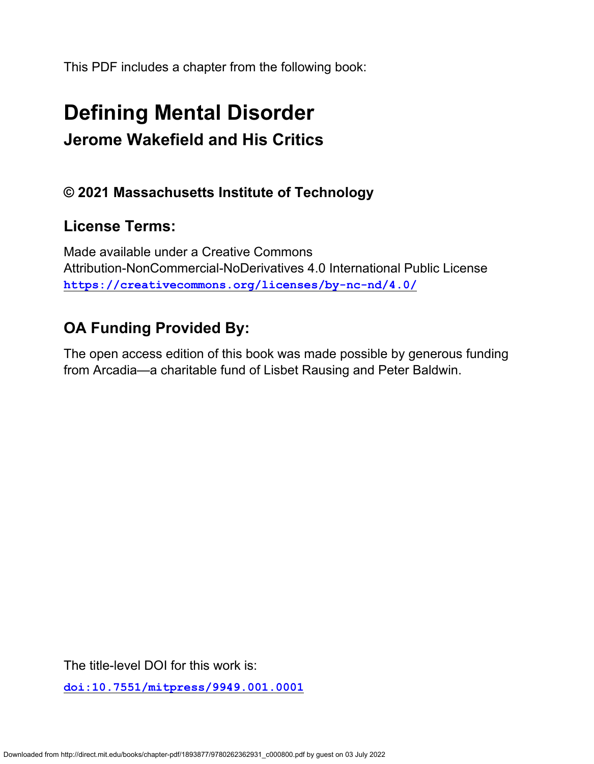This PDF includes a chapter from the following book:

# **Defining Mental Disorder Jerome Wakefield and His Critics**

### **© 2021 Massachusetts Institute of Technology**

# **License Terms:**

Made available under a Creative Commons Attribution-NonCommercial-NoDerivatives 4.0 International Public License **<https://creativecommons.org/licenses/by-nc-nd/4.0/>**

# **OA Funding Provided By:**

The open access edition of this book was made possible by generous funding from Arcadia—a charitable fund of Lisbet Rausing and Peter Baldwin.

The title-level DOI for this work is:

**[doi:10.7551/mitpress/9949.001.0001](https://doi.org/10.7551/mitpress/9949.001.0001)**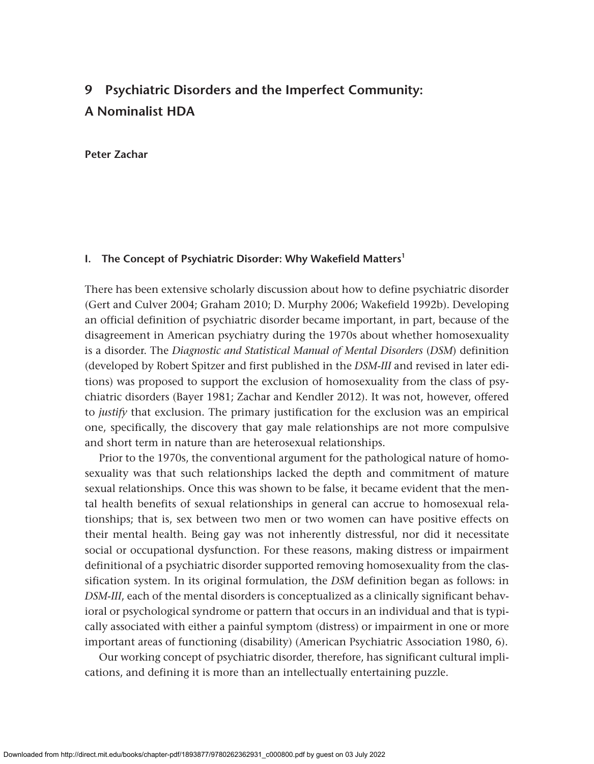## **9 Psychiatric Disorders and the Imperfect Community: A Nominalist HDA**

**Peter Zachar**

#### **I.** The Concept of Psychiatric Disorder: Why Wakefield Matters<sup>1</sup>

There has been extensive scholarly discussion about how to define psychiatric disorder (Gert and Culver 2004; Graham 2010; D. Murphy 2006; Wakefield 1992b). Developing an official definition of psychiatric disorder became important, in part, because of the disagreement in American psychiatry during the 1970s about whether homosexuality is a disorder. The *Diagnostic and Statistical Manual of Mental Disorders* (*DSM*) definition (developed by Robert Spitzer and first published in the *DSM-III* and revised in later editions) was proposed to support the exclusion of homosexuality from the class of psychiatric disorders (Bayer 1981; Zachar and Kendler 2012). It was not, however, offered to *justify* that exclusion. The primary justification for the exclusion was an empirical one, specifically, the discovery that gay male relationships are not more compulsive and short term in nature than are heterosexual relationships.

Prior to the 1970s, the conventional argument for the pathological nature of homosexuality was that such relationships lacked the depth and commitment of mature sexual relationships. Once this was shown to be false, it became evident that the mental health benefits of sexual relationships in general can accrue to homosexual relationships; that is, sex between two men or two women can have positive effects on their mental health. Being gay was not inherently distressful, nor did it necessitate social or occupational dysfunction. For these reasons, making distress or impairment definitional of a psychiatric disorder supported removing homosexuality from the classification system. In its original formulation, the *DSM* definition began as follows: in *DSM-III*, each of the mental disorders is conceptualized as a clinically significant behavioral or psychological syndrome or pattern that occurs in an individual and that is typically associated with either a painful symptom (distress) or impairment in one or more important areas of functioning (disability) (American Psychiatric Association 1980, 6).

Our working concept of psychiatric disorder, therefore, has significant cultural implications, and defining it is more than an intellectually entertaining puzzle.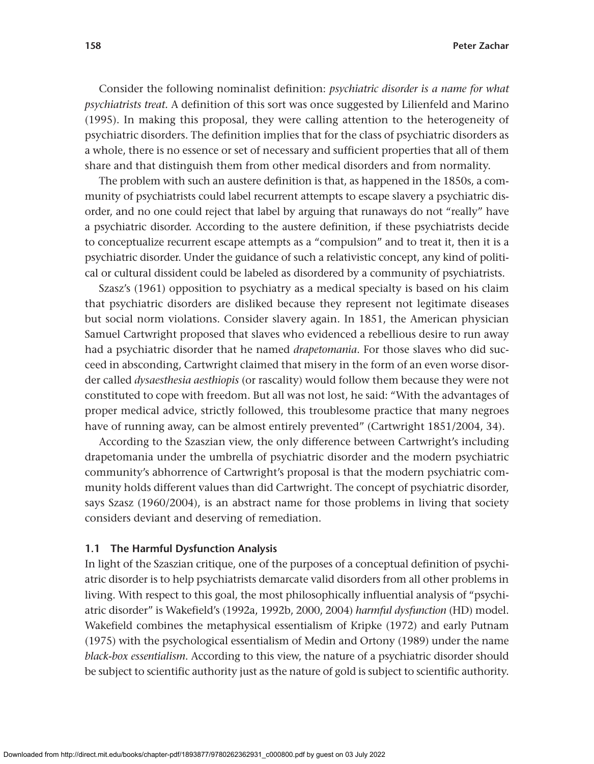Consider the following nominalist definition: *psychiatric disorder is a name for what psychiatrists treat.* A definition of this sort was once suggested by Lilienfeld and Marino (1995). In making this proposal, they were calling attention to the heterogeneity of psychiatric disorders. The definition implies that for the class of psychiatric disorders as a whole, there is no essence or set of necessary and sufficient properties that all of them share and that distinguish them from other medical disorders and from normality.

The problem with such an austere definition is that, as happened in the 1850s, a community of psychiatrists could label recurrent attempts to escape slavery a psychiatric disorder, and no one could reject that label by arguing that runaways do not "really" have a psychiatric disorder. According to the austere definition, if these psychiatrists decide to conceptualize recurrent escape attempts as a "compulsion" and to treat it, then it is a psychiatric disorder. Under the guidance of such a relativistic concept, any kind of political or cultural dissident could be labeled as disordered by a community of psychiatrists.

Szasz's (1961) opposition to psychiatry as a medical specialty is based on his claim that psychiatric disorders are disliked because they represent not legitimate diseases but social norm violations. Consider slavery again. In 1851, the American physician Samuel Cartwright proposed that slaves who evidenced a rebellious desire to run away had a psychiatric disorder that he named *drapetomania*. For those slaves who did succeed in absconding, Cartwright claimed that misery in the form of an even worse disorder called *dysaesthesia aesthiopis* (or rascality) would follow them because they were not constituted to cope with freedom. But all was not lost, he said: "With the advantages of proper medical advice, strictly followed, this troublesome practice that many negroes have of running away, can be almost entirely prevented" (Cartwright 1851/2004, 34).

According to the Szaszian view, the only difference between Cartwright's including drapetomania under the umbrella of psychiatric disorder and the modern psychiatric community's abhorrence of Cartwright's proposal is that the modern psychiatric community holds different values than did Cartwright. The concept of psychiatric disorder, says Szasz (1960/2004), is an abstract name for those problems in living that society considers deviant and deserving of remediation.

#### **1.1 The Harmful Dysfunction Analysis**

In light of the Szaszian critique, one of the purposes of a conceptual definition of psychiatric disorder is to help psychiatrists demarcate valid disorders from all other problems in living. With respect to this goal, the most philosophically influential analysis of "psychiatric disorder" is Wakefield's (1992a, 1992b, 2000, 2004) *harmful dysfunction* (HD) model. Wakefield combines the metaphysical essentialism of Kripke (1972) and early Putnam (1975) with the psychological essentialism of Medin and Ortony (1989) under the name *black-box essentialism*. According to this view, the nature of a psychiatric disorder should be subject to scientific authority just as the nature of gold is subject to scientific authority.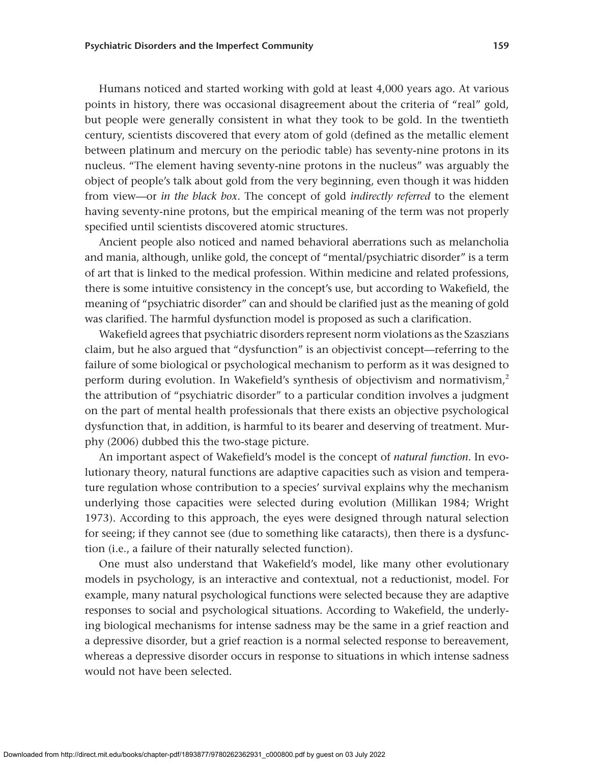Humans noticed and started working with gold at least 4,000 years ago. At various points in history, there was occasional disagreement about the criteria of "real" gold, but people were generally consistent in what they took to be gold. In the twentieth century, scientists discovered that every atom of gold (defined as the metallic element between platinum and mercury on the periodic table) has seventy-nine protons in its nucleus. "The element having seventy-nine protons in the nucleus" was arguably the object of people's talk about gold from the very beginning, even though it was hidden from view—or *in the black box*. The concept of gold *indirectly referred* to the element having seventy-nine protons, but the empirical meaning of the term was not properly specified until scientists discovered atomic structures.

Ancient people also noticed and named behavioral aberrations such as melancholia and mania, although, unlike gold, the concept of "mental/psychiatric disorder" is a term of art that is linked to the medical profession. Within medicine and related professions, there is some intuitive consistency in the concept's use, but according to Wakefield, the meaning of "psychiatric disorder" can and should be clarified just as the meaning of gold was clarified. The harmful dysfunction model is proposed as such a clarification.

Wakefield agrees that psychiatric disorders represent norm violations as the Szaszians claim, but he also argued that "dysfunction" is an objectivist concept—referring to the failure of some biological or psychological mechanism to perform as it was designed to perform during evolution. In Wakefield's synthesis of objectivism and normativism,2 the attribution of "psychiatric disorder" to a particular condition involves a judgment on the part of mental health professionals that there exists an objective psychological dysfunction that, in addition, is harmful to its bearer and deserving of treatment. Murphy (2006) dubbed this the two-stage picture.

An important aspect of Wakefield's model is the concept of *natural function.* In evolutionary theory, natural functions are adaptive capacities such as vision and temperature regulation whose contribution to a species' survival explains why the mechanism underlying those capacities were selected during evolution (Millikan 1984; Wright 1973). According to this approach, the eyes were designed through natural selection for seeing; if they cannot see (due to something like cataracts), then there is a dysfunction (i.e., a failure of their naturally selected function).

One must also understand that Wakefield's model, like many other evolutionary models in psychology, is an interactive and contextual, not a reductionist, model. For example, many natural psychological functions were selected because they are adaptive responses to social and psychological situations. According to Wakefield, the underlying biological mechanisms for intense sadness may be the same in a grief reaction and a depressive disorder, but a grief reaction is a normal selected response to bereavement, whereas a depressive disorder occurs in response to situations in which intense sadness would not have been selected.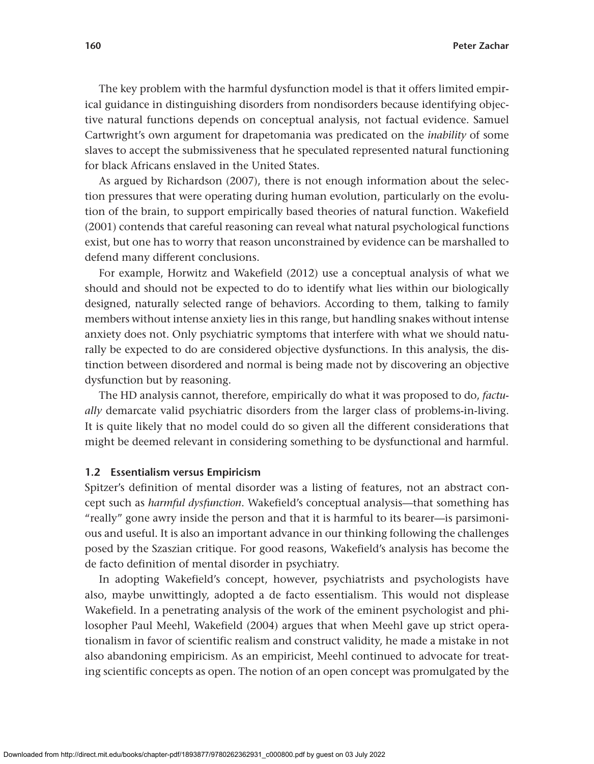The key problem with the harmful dysfunction model is that it offers limited empirical guidance in distinguishing disorders from nondisorders because identifying objective natural functions depends on conceptual analysis, not factual evidence. Samuel Cartwright's own argument for drapetomania was predicated on the *inability* of some slaves to accept the submissiveness that he speculated represented natural functioning for black Africans enslaved in the United States.

As argued by Richardson (2007), there is not enough information about the selection pressures that were operating during human evolution, particularly on the evolution of the brain, to support empirically based theories of natural function. Wakefield (2001) contends that careful reasoning can reveal what natural psychological functions exist, but one has to worry that reason unconstrained by evidence can be marshalled to defend many different conclusions.

For example, Horwitz and Wakefield (2012) use a conceptual analysis of what we should and should not be expected to do to identify what lies within our biologically designed, naturally selected range of behaviors. According to them, talking to family members without intense anxiety lies in this range, but handling snakes without intense anxiety does not. Only psychiatric symptoms that interfere with what we should naturally be expected to do are considered objective dysfunctions. In this analysis, the distinction between disordered and normal is being made not by discovering an objective dysfunction but by reasoning.

The HD analysis cannot, therefore, empirically do what it was proposed to do, *factually* demarcate valid psychiatric disorders from the larger class of problems-in-living. It is quite likely that no model could do so given all the different considerations that might be deemed relevant in considering something to be dysfunctional and harmful.

#### **1.2 Essentialism versus Empiricism**

Spitzer's definition of mental disorder was a listing of features, not an abstract concept such as *harmful dysfunction*. Wakefield's conceptual analysis—that something has "really" gone awry inside the person and that it is harmful to its bearer—is parsimonious and useful. It is also an important advance in our thinking following the challenges posed by the Szaszian critique. For good reasons, Wakefield's analysis has become the de facto definition of mental disorder in psychiatry.

In adopting Wakefield's concept, however, psychiatrists and psychologists have also, maybe unwittingly, adopted a de facto essentialism. This would not displease Wakefield. In a penetrating analysis of the work of the eminent psychologist and philosopher Paul Meehl, Wakefield (2004) argues that when Meehl gave up strict operationalism in favor of scientific realism and construct validity, he made a mistake in not also abandoning empiricism. As an empiricist, Meehl continued to advocate for treating scientific concepts as open. The notion of an open concept was promulgated by the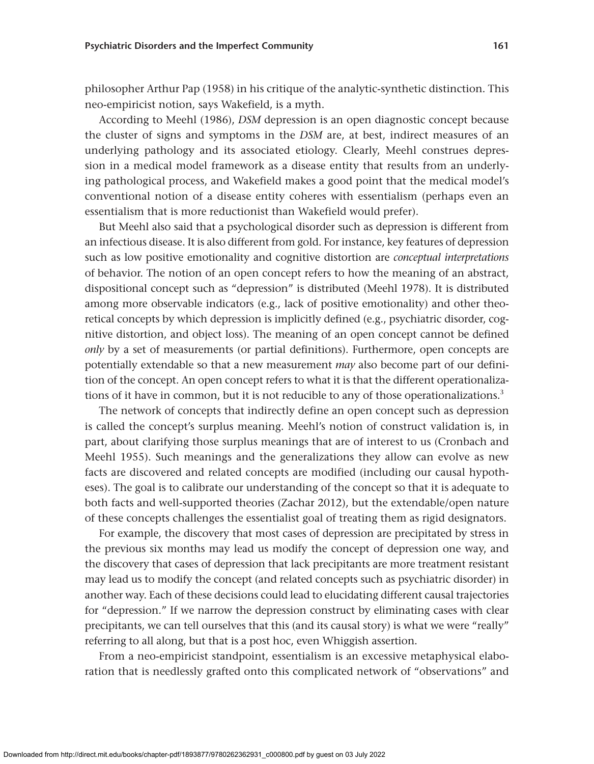philosopher Arthur Pap (1958) in his critique of the analytic-synthetic distinction. This neo-empiricist notion, says Wakefield, is a myth.

According to Meehl (1986), *DSM* depression is an open diagnostic concept because the cluster of signs and symptoms in the *DSM* are, at best, indirect measures of an underlying pathology and its associated etiology. Clearly, Meehl construes depression in a medical model framework as a disease entity that results from an underlying pathological process, and Wakefield makes a good point that the medical model's conventional notion of a disease entity coheres with essentialism (perhaps even an essentialism that is more reductionist than Wakefield would prefer).

But Meehl also said that a psychological disorder such as depression is different from an infectious disease. It is also different from gold. For instance, key features of depression such as low positive emotionality and cognitive distortion are *conceptual interpretations* of behavior. The notion of an open concept refers to how the meaning of an abstract, dispositional concept such as "depression" is distributed (Meehl 1978). It is distributed among more observable indicators (e.g., lack of positive emotionality) and other theoretical concepts by which depression is implicitly defined (e.g., psychiatric disorder, cognitive distortion, and object loss). The meaning of an open concept cannot be defined *only* by a set of measurements (or partial definitions). Furthermore, open concepts are potentially extendable so that a new measurement *may* also become part of our definition of the concept. An open concept refers to what it is that the different operationalizations of it have in common, but it is not reducible to any of those operationalizations.<sup>3</sup>

The network of concepts that indirectly define an open concept such as depression is called the concept's surplus meaning. Meehl's notion of construct validation is, in part, about clarifying those surplus meanings that are of interest to us (Cronbach and Meehl 1955). Such meanings and the generalizations they allow can evolve as new facts are discovered and related concepts are modified (including our causal hypotheses). The goal is to calibrate our understanding of the concept so that it is adequate to both facts and well-supported theories (Zachar 2012), but the extendable/open nature of these concepts challenges the essentialist goal of treating them as rigid designators.

For example, the discovery that most cases of depression are precipitated by stress in the previous six months may lead us modify the concept of depression one way, and the discovery that cases of depression that lack precipitants are more treatment resistant may lead us to modify the concept (and related concepts such as psychiatric disorder) in another way. Each of these decisions could lead to elucidating different causal trajectories for "depression." If we narrow the depression construct by eliminating cases with clear precipitants, we can tell ourselves that this (and its causal story) is what we were "really" referring to all along, but that is a post hoc, even Whiggish assertion.

From a neo-empiricist standpoint, essentialism is an excessive metaphysical elaboration that is needlessly grafted onto this complicated network of "observations" and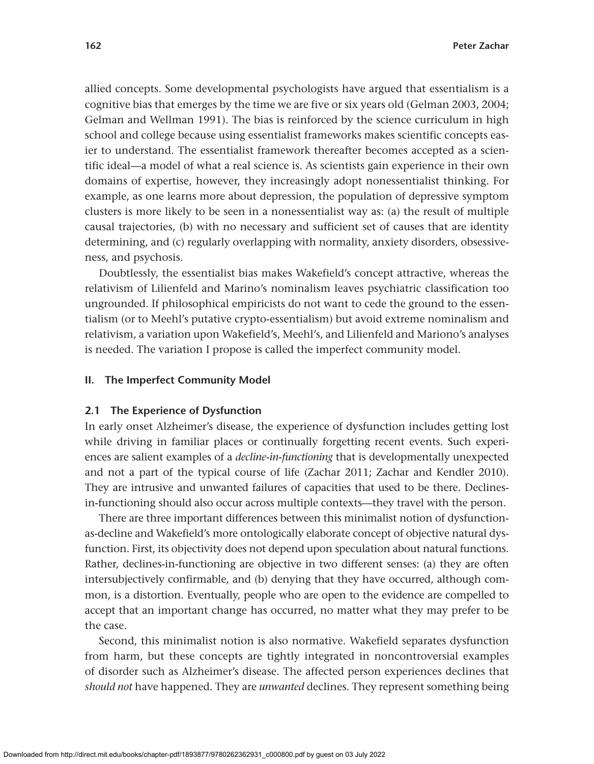allied concepts. Some developmental psychologists have argued that essentialism is a cognitive bias that emerges by the time we are five or six years old (Gelman 2003, 2004; Gelman and Wellman 1991). The bias is reinforced by the science curriculum in high school and college because using essentialist frameworks makes scientific concepts easier to understand. The essentialist framework thereafter becomes accepted as a scientific ideal—a model of what a real science is. As scientists gain experience in their own domains of expertise, however, they increasingly adopt nonessentialist thinking. For example, as one learns more about depression, the population of depressive symptom clusters is more likely to be seen in a nonessentialist way as: (a) the result of multiple causal trajectories, (b) with no necessary and sufficient set of causes that are identity determining, and (c) regularly overlapping with normality, anxiety disorders, obsessiveness, and psychosis.

Doubtlessly, the essentialist bias makes Wakefield's concept attractive, whereas the relativism of Lilienfeld and Marino's nominalism leaves psychiatric classification too ungrounded. If philosophical empiricists do not want to cede the ground to the essentialism (or to Meehl's putative crypto-essentialism) but avoid extreme nominalism and relativism, a variation upon Wakefield's, Meehl's, and Lilienfeld and Mariono's analyses is needed. The variation I propose is called the imperfect community model.

#### **II. The Imperfect Community Model**

#### **2.1 The Experience of Dysfunction**

In early onset Alzheimer's disease, the experience of dysfunction includes getting lost while driving in familiar places or continually forgetting recent events. Such experiences are salient examples of a *decline-in-functioning* that is developmentally unexpected and not a part of the typical course of life (Zachar 2011; Zachar and Kendler 2010). They are intrusive and unwanted failures of capacities that used to be there. Declinesin-functioning should also occur across multiple contexts—they travel with the person.

There are three important differences between this minimalist notion of dysfunctionas-decline and Wakefield's more ontologically elaborate concept of objective natural dysfunction. First, its objectivity does not depend upon speculation about natural functions. Rather, declines-in-functioning are objective in two different senses: (a) they are often intersubjectively confirmable, and (b) denying that they have occurred, although common, is a distortion. Eventually, people who are open to the evidence are compelled to accept that an important change has occurred, no matter what they may prefer to be the case.

Second, this minimalist notion is also normative. Wakefield separates dysfunction from harm, but these concepts are tightly integrated in noncontroversial examples of disorder such as Alzheimer's disease. The affected person experiences declines that *should not* have happened. They are *unwanted* declines. They represent something being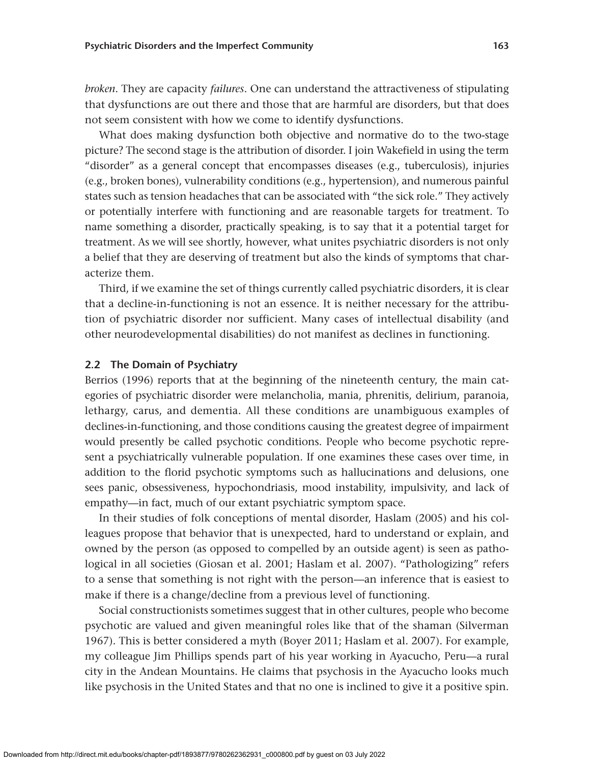*broken*. They are capacity *failures*. One can understand the attractiveness of stipulating that dysfunctions are out there and those that are harmful are disorders, but that does not seem consistent with how we come to identify dysfunctions.

What does making dysfunction both objective and normative do to the two-stage picture? The second stage is the attribution of disorder. I join Wakefield in using the term "disorder" as a general concept that encompasses diseases (e.g., tuberculosis), injuries (e.g., broken bones), vulnerability conditions (e.g., hypertension), and numerous painful states such as tension headaches that can be associated with "the sick role." They actively or potentially interfere with functioning and are reasonable targets for treatment. To name something a disorder, practically speaking, is to say that it a potential target for treatment. As we will see shortly, however, what unites psychiatric disorders is not only a belief that they are deserving of treatment but also the kinds of symptoms that characterize them.

Third, if we examine the set of things currently called psychiatric disorders, it is clear that a decline-in-functioning is not an essence. It is neither necessary for the attribution of psychiatric disorder nor sufficient. Many cases of intellectual disability (and other neurodevelopmental disabilities) do not manifest as declines in functioning.

#### **2.2 The Domain of Psychiatry**

Berrios (1996) reports that at the beginning of the nineteenth century, the main categories of psychiatric disorder were melancholia, mania, phrenitis, delirium, paranoia, lethargy, carus, and dementia. All these conditions are unambiguous examples of declines-in-functioning, and those conditions causing the greatest degree of impairment would presently be called psychotic conditions. People who become psychotic represent a psychiatrically vulnerable population. If one examines these cases over time, in addition to the florid psychotic symptoms such as hallucinations and delusions, one sees panic, obsessiveness, hypochondriasis, mood instability, impulsivity, and lack of empathy—in fact, much of our extant psychiatric symptom space.

In their studies of folk conceptions of mental disorder, Haslam (2005) and his colleagues propose that behavior that is unexpected, hard to understand or explain, and owned by the person (as opposed to compelled by an outside agent) is seen as pathological in all societies (Giosan et al. 2001; Haslam et al. 2007). "Pathologizing" refers to a sense that something is not right with the person—an inference that is easiest to make if there is a change/decline from a previous level of functioning.

Social constructionists sometimes suggest that in other cultures, people who become psychotic are valued and given meaningful roles like that of the shaman (Silverman 1967). This is better considered a myth (Boyer 2011; Haslam et al. 2007). For example, my colleague Jim Phillips spends part of his year working in Ayacucho, Peru—a rural city in the Andean Mountains. He claims that psychosis in the Ayacucho looks much like psychosis in the United States and that no one is inclined to give it a positive spin.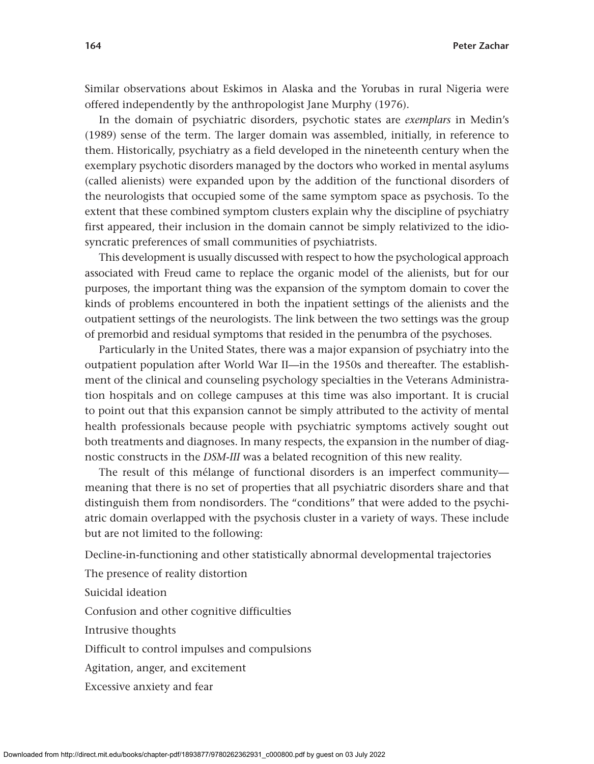Similar observations about Eskimos in Alaska and the Yorubas in rural Nigeria were offered independently by the anthropologist Jane Murphy (1976).

In the domain of psychiatric disorders, psychotic states are *exemplars* in Medin's (1989) sense of the term. The larger domain was assembled, initially, in reference to them. Historically, psychiatry as a field developed in the nineteenth century when the exemplary psychotic disorders managed by the doctors who worked in mental asylums (called alienists) were expanded upon by the addition of the functional disorders of the neurologists that occupied some of the same symptom space as psychosis. To the extent that these combined symptom clusters explain why the discipline of psychiatry first appeared, their inclusion in the domain cannot be simply relativized to the idiosyncratic preferences of small communities of psychiatrists.

This development is usually discussed with respect to how the psychological approach associated with Freud came to replace the organic model of the alienists, but for our purposes, the important thing was the expansion of the symptom domain to cover the kinds of problems encountered in both the inpatient settings of the alienists and the outpatient settings of the neurologists. The link between the two settings was the group of premorbid and residual symptoms that resided in the penumbra of the psychoses.

Particularly in the United States, there was a major expansion of psychiatry into the outpatient population after World War II—in the 1950s and thereafter. The establishment of the clinical and counseling psychology specialties in the Veterans Administration hospitals and on college campuses at this time was also important. It is crucial to point out that this expansion cannot be simply attributed to the activity of mental health professionals because people with psychiatric symptoms actively sought out both treatments and diagnoses. In many respects, the expansion in the number of diagnostic constructs in the *DSM-III* was a belated recognition of this new reality.

The result of this mélange of functional disorders is an imperfect community meaning that there is no set of properties that all psychiatric disorders share and that distinguish them from nondisorders. The "conditions" that were added to the psychiatric domain overlapped with the psychosis cluster in a variety of ways. These include but are not limited to the following:

Decline-in-functioning and other statistically abnormal developmental trajectories

The presence of reality distortion Suicidal ideation Confusion and other cognitive difficulties Intrusive thoughts Difficult to control impulses and compulsions Agitation, anger, and excitement Excessive anxiety and fear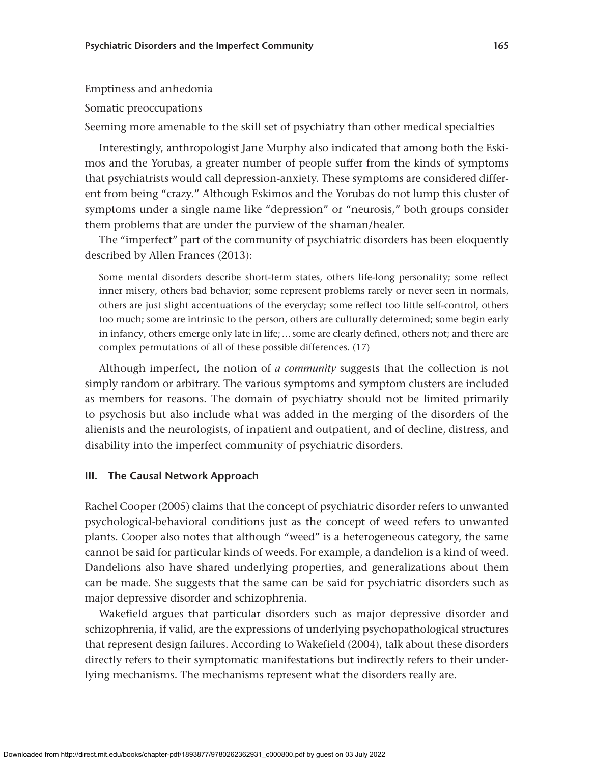#### Emptiness and anhedonia

Somatic preoccupations

Seeming more amenable to the skill set of psychiatry than other medical specialties

Interestingly, anthropologist Jane Murphy also indicated that among both the Eskimos and the Yorubas, a greater number of people suffer from the kinds of symptoms that psychiatrists would call depression-anxiety. These symptoms are considered different from being "crazy." Although Eskimos and the Yorubas do not lump this cluster of symptoms under a single name like "depression" or "neurosis," both groups consider them problems that are under the purview of the shaman/healer.

The "imperfect" part of the community of psychiatric disorders has been eloquently described by Allen Frances (2013):

Some mental disorders describe short-term states, others life-long personality; some reflect inner misery, others bad behavior; some represent problems rarely or never seen in normals, others are just slight accentuations of the everyday; some reflect too little self-control, others too much; some are intrinsic to the person, others are culturally determined; some begin early in infancy, others emerge only late in life;…some are clearly defined, others not; and there are complex permutations of all of these possible differences. (17)

Although imperfect, the notion of *a community* suggests that the collection is not simply random or arbitrary. The various symptoms and symptom clusters are included as members for reasons. The domain of psychiatry should not be limited primarily to psychosis but also include what was added in the merging of the disorders of the alienists and the neurologists, of inpatient and outpatient, and of decline, distress, and disability into the imperfect community of psychiatric disorders.

#### **III. The Causal Network Approach**

Rachel Cooper (2005) claims that the concept of psychiatric disorder refers to unwanted psychological-behavioral conditions just as the concept of weed refers to unwanted plants. Cooper also notes that although "weed" is a heterogeneous category, the same cannot be said for particular kinds of weeds. For example, a dandelion is a kind of weed. Dandelions also have shared underlying properties, and generalizations about them can be made. She suggests that the same can be said for psychiatric disorders such as major depressive disorder and schizophrenia.

Wakefield argues that particular disorders such as major depressive disorder and schizophrenia, if valid, are the expressions of underlying psychopathological structures that represent design failures. According to Wakefield (2004), talk about these disorders directly refers to their symptomatic manifestations but indirectly refers to their underlying mechanisms. The mechanisms represent what the disorders really are.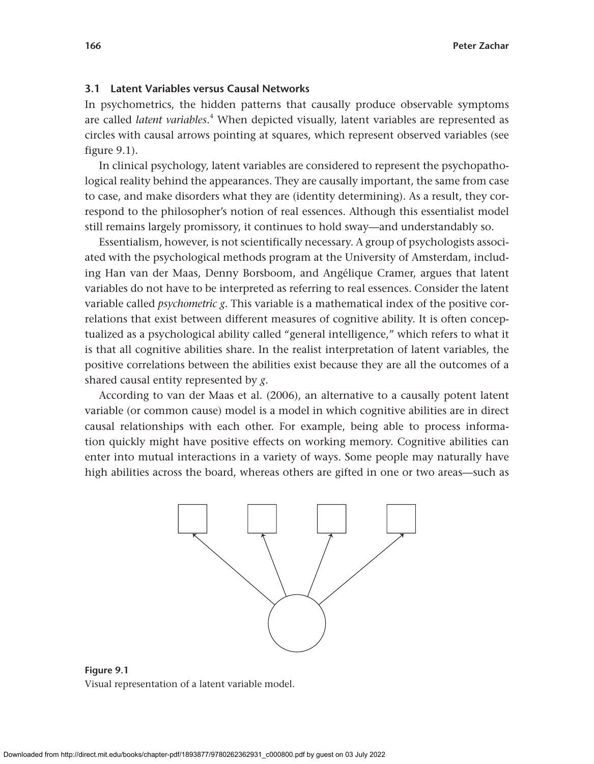#### **3.1 Latent Variables versus Causal Networks**

In psychometrics, the hidden patterns that causally produce observable symptoms are called *latent variables*.<sup>4</sup> When depicted visually, latent variables are represented as circles with causal arrows pointing at squares, which represent observed variables (see figure 9.1).

In clinical psychology, latent variables are considered to represent the psychopathological reality behind the appearances. They are causally important, the same from case to case, and make disorders what they are (identity determining). As a result, they correspond to the philosopher's notion of real essences. Although this essentialist model still remains largely promissory, it continues to hold sway—and understandably so.

Essentialism, however, is not scientifically necessary. A group of psychologists associated with the psychological methods program at the University of Amsterdam, including Han van der Maas, Denny Borsboom, and Angélique Cramer, argues that latent variables do not have to be interpreted as referring to real essences. Consider the latent variable called *psychometric g*. This variable is a mathematical index of the positive correlations that exist between different measures of cognitive ability. It is often conceptualized as a psychological ability called "general intelligence," which refers to what it is that all cognitive abilities share. In the realist interpretation of latent variables, the positive correlations between the abilities exist because they are all the outcomes of a shared causal entity represented by *g*.

According to van der Maas et al. (2006), an alternative to a causally potent latent variable (or common cause) model is a model in which cognitive abilities are in direct causal relationships with each other. For example, being able to process information quickly might have positive effects on working memory. Cognitive abilities can enter into mutual interactions in a variety of ways. Some people may naturally have high abilities across the board, whereas others are gifted in one or two areas—such as



**Figure 9.1** Visual representation of a latent variable model.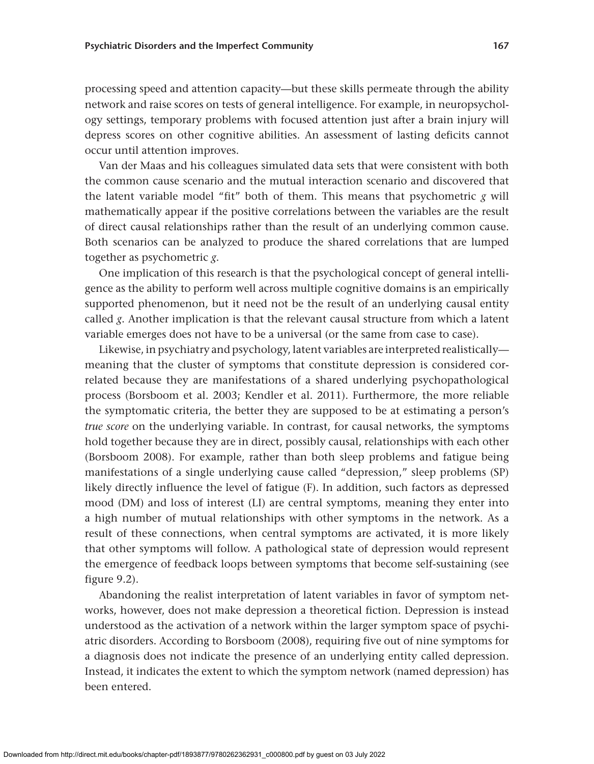processing speed and attention capacity—but these skills permeate through the ability network and raise scores on tests of general intelligence. For example, in neuropsychology settings, temporary problems with focused attention just after a brain injury will depress scores on other cognitive abilities. An assessment of lasting deficits cannot occur until attention improves.

Van der Maas and his colleagues simulated data sets that were consistent with both the common cause scenario and the mutual interaction scenario and discovered that the latent variable model "fit" both of them. This means that psychometric *g* will mathematically appear if the positive correlations between the variables are the result of direct causal relationships rather than the result of an underlying common cause. Both scenarios can be analyzed to produce the shared correlations that are lumped together as psychometric *g*.

One implication of this research is that the psychological concept of general intelligence as the ability to perform well across multiple cognitive domains is an empirically supported phenomenon, but it need not be the result of an underlying causal entity called *g*. Another implication is that the relevant causal structure from which a latent variable emerges does not have to be a universal (or the same from case to case).

Likewise, in psychiatry and psychology, latent variables are interpreted realistically meaning that the cluster of symptoms that constitute depression is considered correlated because they are manifestations of a shared underlying psychopathological process (Borsboom et al. 2003; Kendler et al. 2011). Furthermore, the more reliable the symptomatic criteria, the better they are supposed to be at estimating a person's *true score* on the underlying variable. In contrast, for causal networks, the symptoms hold together because they are in direct, possibly causal, relationships with each other (Borsboom 2008). For example, rather than both sleep problems and fatigue being manifestations of a single underlying cause called "depression," sleep problems (SP) likely directly influence the level of fatigue (F). In addition, such factors as depressed mood (DM) and loss of interest (LI) are central symptoms, meaning they enter into a high number of mutual relationships with other symptoms in the network. As a result of these connections, when central symptoms are activated, it is more likely that other symptoms will follow. A pathological state of depression would represent the emergence of feedback loops between symptoms that become self-sustaining (see figure 9.2).

Abandoning the realist interpretation of latent variables in favor of symptom networks, however, does not make depression a theoretical fiction. Depression is instead understood as the activation of a network within the larger symptom space of psychiatric disorders. According to Borsboom (2008), requiring five out of nine symptoms for a diagnosis does not indicate the presence of an underlying entity called depression. Instead, it indicates the extent to which the symptom network (named depression) has been entered.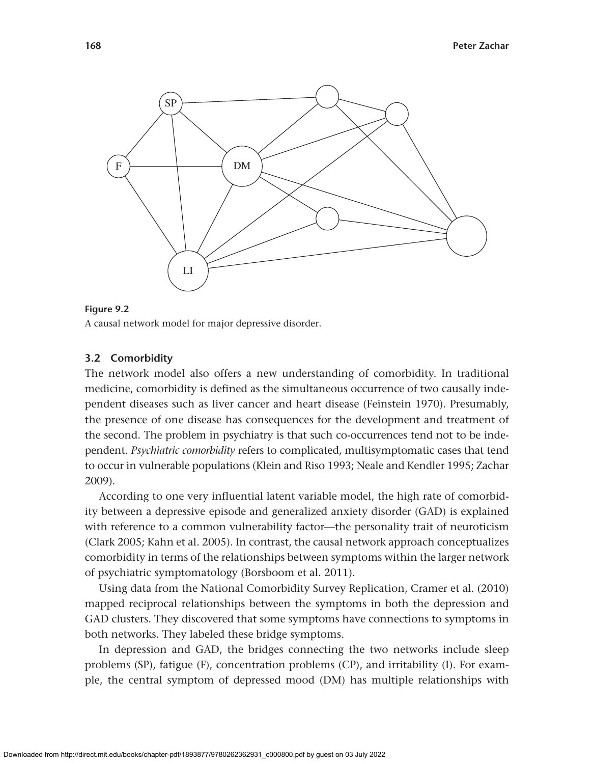



#### **3.2 Comorbidity**

The network model also offers a new understanding of comorbidity. In traditional medicine, comorbidity is defined as the simultaneous occurrence of two causally independent diseases such as liver cancer and heart disease (Feinstein 1970). Presumably, the presence of one disease has consequences for the development and treatment of the second. The problem in psychiatry is that such co-occurrences tend not to be independent. *Psychiatric comorbidity* refers to complicated, multisymptomatic cases that tend to occur in vulnerable populations (Klein and Riso 1993; Neale and Kendler 1995; Zachar 2009).

According to one very influential latent variable model, the high rate of comorbidity between a depressive episode and generalized anxiety disorder (GAD) is explained with reference to a common vulnerability factor—the personality trait of neuroticism (Clark 2005; Kahn et al. 2005). In contrast, the causal network approach conceptualizes comorbidity in terms of the relationships between symptoms within the larger network of psychiatric symptomatology (Borsboom et al. 2011).

Using data from the National Comorbidity Survey Replication, Cramer et al. (2010) mapped reciprocal relationships between the symptoms in both the depression and GAD clusters. They discovered that some symptoms have connections to symptoms in both networks. They labeled these bridge symptoms.

In depression and GAD, the bridges connecting the two networks include sleep problems (SP), fatigue (F), concentration problems (CP), and irritability (I). For example, the central symptom of depressed mood (DM) has multiple relationships with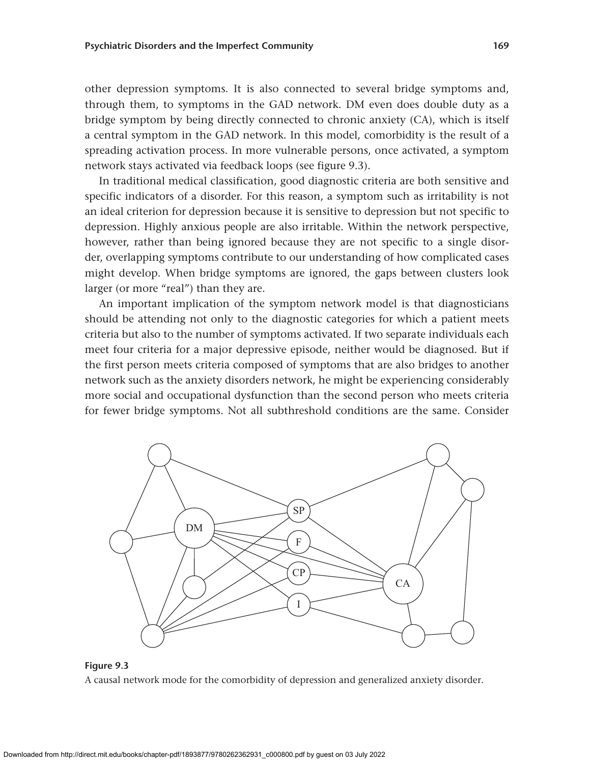other depression symptoms. It is also connected to several bridge symptoms and, through them, to symptoms in the GAD network. DM even does double duty as a bridge symptom by being directly connected to chronic anxiety (CA), which is itself a central symptom in the GAD network. In this model, comorbidity is the result of a spreading activation process. In more vulnerable persons, once activated, a symptom network stays activated via feedback loops (see figure 9.3).

In traditional medical classification, good diagnostic criteria are both sensitive and specific indicators of a disorder. For this reason, a symptom such as irritability is not an ideal criterion for depression because it is sensitive to depression but not specific to depression. Highly anxious people are also irritable. Within the network perspective, however, rather than being ignored because they are not specific to a single disorder, overlapping symptoms contribute to our understanding of how complicated cases might develop. When bridge symptoms are ignored, the gaps between clusters look larger (or more "real") than they are.

An important implication of the symptom network model is that diagnosticians should be attending not only to the diagnostic categories for which a patient meets criteria but also to the number of symptoms activated. If two separate individuals each meet four criteria for a major depressive episode, neither would be diagnosed. But if the first person meets criteria composed of symptoms that are also bridges to another network such as the anxiety disorders network, he might be experiencing considerably more social and occupational dysfunction than the second person who meets criteria for fewer bridge symptoms. Not all subthreshold conditions are the same. Consider



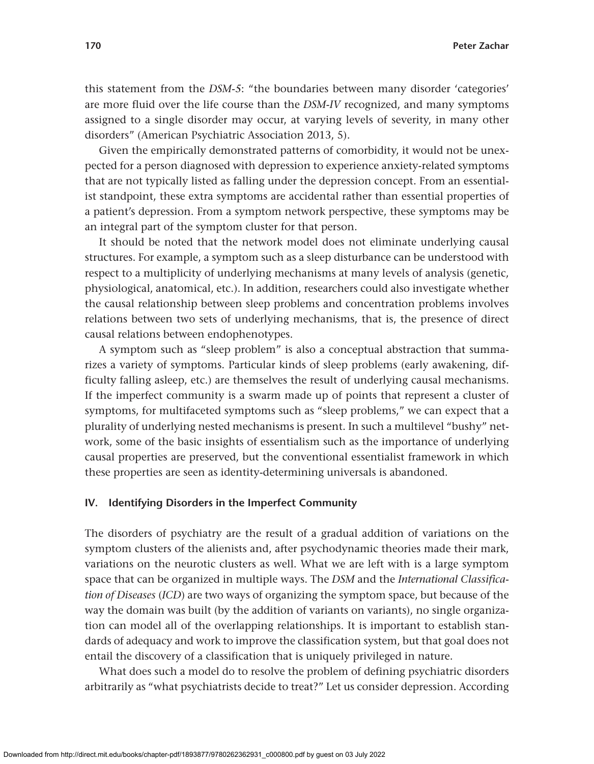this statement from the *DSM-5*: "the boundaries between many disorder 'categories' are more fluid over the life course than the *DSM-IV* recognized, and many symptoms assigned to a single disorder may occur, at varying levels of severity, in many other disorders" (American Psychiatric Association 2013, 5).

Given the empirically demonstrated patterns of comorbidity, it would not be unexpected for a person diagnosed with depression to experience anxiety-related symptoms that are not typically listed as falling under the depression concept. From an essentialist standpoint, these extra symptoms are accidental rather than essential properties of a patient's depression. From a symptom network perspective, these symptoms may be an integral part of the symptom cluster for that person.

It should be noted that the network model does not eliminate underlying causal structures. For example, a symptom such as a sleep disturbance can be understood with respect to a multiplicity of underlying mechanisms at many levels of analysis (genetic, physiological, anatomical, etc.). In addition, researchers could also investigate whether the causal relationship between sleep problems and concentration problems involves relations between two sets of underlying mechanisms, that is, the presence of direct causal relations between endophenotypes.

A symptom such as "sleep problem" is also a conceptual abstraction that summarizes a variety of symptoms. Particular kinds of sleep problems (early awakening, difficulty falling asleep, etc.) are themselves the result of underlying causal mechanisms. If the imperfect community is a swarm made up of points that represent a cluster of symptoms, for multifaceted symptoms such as "sleep problems," we can expect that a plurality of underlying nested mechanisms is present. In such a multilevel "bushy" network, some of the basic insights of essentialism such as the importance of underlying causal properties are preserved, but the conventional essentialist framework in which these properties are seen as identity-determining universals is abandoned.

#### **IV. Identifying Disorders in the Imperfect Community**

The disorders of psychiatry are the result of a gradual addition of variations on the symptom clusters of the alienists and, after psychodynamic theories made their mark, variations on the neurotic clusters as well. What we are left with is a large symptom space that can be organized in multiple ways. The *DSM* and the *International Classification of Diseases* (*ICD*) are two ways of organizing the symptom space, but because of the way the domain was built (by the addition of variants on variants), no single organization can model all of the overlapping relationships. It is important to establish standards of adequacy and work to improve the classification system, but that goal does not entail the discovery of a classification that is uniquely privileged in nature.

What does such a model do to resolve the problem of defining psychiatric disorders arbitrarily as "what psychiatrists decide to treat?" Let us consider depression. According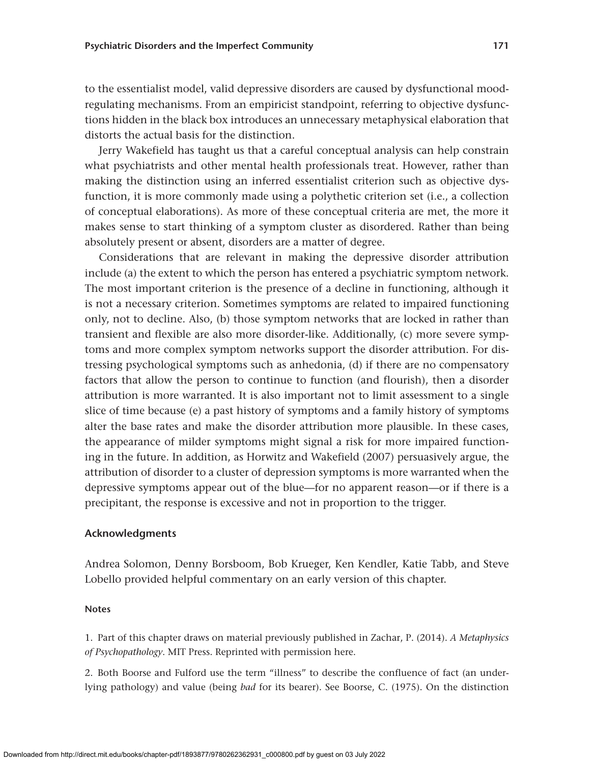to the essentialist model, valid depressive disorders are caused by dysfunctional moodregulating mechanisms. From an empiricist standpoint, referring to objective dysfunctions hidden in the black box introduces an unnecessary metaphysical elaboration that distorts the actual basis for the distinction.

Jerry Wakefield has taught us that a careful conceptual analysis can help constrain what psychiatrists and other mental health professionals treat. However, rather than making the distinction using an inferred essentialist criterion such as objective dysfunction, it is more commonly made using a polythetic criterion set (i.e., a collection of conceptual elaborations). As more of these conceptual criteria are met, the more it makes sense to start thinking of a symptom cluster as disordered. Rather than being absolutely present or absent, disorders are a matter of degree.

Considerations that are relevant in making the depressive disorder attribution include (a) the extent to which the person has entered a psychiatric symptom network. The most important criterion is the presence of a decline in functioning, although it is not a necessary criterion. Sometimes symptoms are related to impaired functioning only, not to decline. Also, (b) those symptom networks that are locked in rather than transient and flexible are also more disorder-like. Additionally, (c) more severe symptoms and more complex symptom networks support the disorder attribution. For distressing psychological symptoms such as anhedonia, (d) if there are no compensatory factors that allow the person to continue to function (and flourish), then a disorder attribution is more warranted. It is also important not to limit assessment to a single slice of time because (e) a past history of symptoms and a family history of symptoms alter the base rates and make the disorder attribution more plausible. In these cases, the appearance of milder symptoms might signal a risk for more impaired functioning in the future. In addition, as Horwitz and Wakefield (2007) persuasively argue, the attribution of disorder to a cluster of depression symptoms is more warranted when the depressive symptoms appear out of the blue—for no apparent reason—or if there is a precipitant, the response is excessive and not in proportion to the trigger.

#### **Acknowledgments**

Andrea Solomon, Denny Borsboom, Bob Krueger, Ken Kendler, Katie Tabb, and Steve Lobello provided helpful commentary on an early version of this chapter.

#### **Notes**

1. Part of this chapter draws on material previously published in Zachar, P. (2014). *A Metaphysics of Psychopathology*. MIT Press. Reprinted with permission here.

2. Both Boorse and Fulford use the term "illness" to describe the confluence of fact (an underlying pathology) and value (being *bad* for its bearer). See Boorse, C. (1975). On the distinction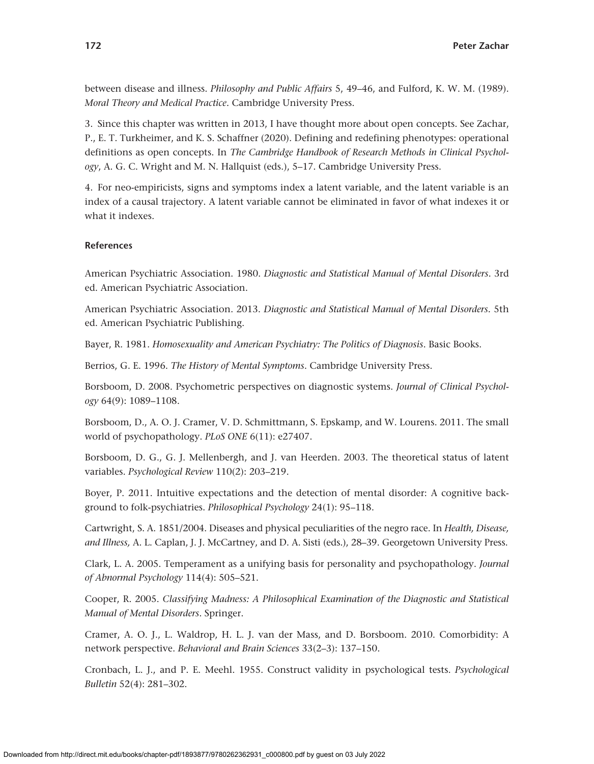between disease and illness. *Philosophy and Public Affairs* 5, 49–46, and Fulford, K. W. M. (1989). *Moral Theory and Medical Practice.* Cambridge University Press.

3. Since this chapter was written in 2013, I have thought more about open concepts. See Zachar, P., E. T. Turkheimer, and K. S. Schaffner (2020). Defining and redefining phenotypes: operational definitions as open concepts. In *The Cambridge Handbook of Research Methods in Clinical Psychology*, A. G. C. Wright and M. N. Hallquist (eds.), 5–17. Cambridge University Press.

4. For neo-empiricists, signs and symptoms index a latent variable, and the latent variable is an index of a causal trajectory. A latent variable cannot be eliminated in favor of what indexes it or what it indexes.

#### **References**

American Psychiatric Association. 1980. *Diagnostic and Statistical Manual of Mental Disorders*. 3rd ed. American Psychiatric Association.

American Psychiatric Association. 2013. *Diagnostic and Statistical Manual of Mental Disorders.* 5th ed. American Psychiatric Publishing.

Bayer, R. 1981. *Homosexuality and American Psychiatry: The Politics of Diagnosis*. Basic Books.

Berrios, G. E. 1996. *The History of Mental Symptoms*. Cambridge University Press.

Borsboom, D. 2008. Psychometric perspectives on diagnostic systems. *Journal of Clinical Psychology* 64(9): 1089–1108.

Borsboom, D., A. O. J. Cramer, V. D. Schmittmann, S. Epskamp, and W. Lourens. 2011. The small world of psychopathology. *PLoS ONE* 6(11): e27407.

Borsboom, D. G., G. J. Mellenbergh, and J. van Heerden. 2003. The theoretical status of latent variables. *Psychological Review* 110(2): 203–219.

Boyer, P. 2011. Intuitive expectations and the detection of mental disorder: A cognitive background to folk-psychiatries. *Philosophical Psychology* 24(1): 95–118.

Cartwright, S. A. 1851/2004. Diseases and physical peculiarities of the negro race. In *Health, Disease, and Illness,* A. L. Caplan, J. J. McCartney, and D. A. Sisti (eds.), 28–39. Georgetown University Press.

Clark, L. A. 2005. Temperament as a unifying basis for personality and psychopathology. *Journal of Abnormal Psychology* 114(4): 505–521.

Cooper, R. 2005. *Classifying Madness: A Philosophical Examination of the Diagnostic and Statistical Manual of Mental Disorders*. Springer.

Cramer, A. O. J., L. Waldrop, H. L. J. van der Mass, and D. Borsboom. 2010. Comorbidity: A network perspective. *Behavioral and Brain Sciences* 33(2–3): 137–150.

Cronbach, L. J., and P. E. Meehl. 1955. Construct validity in psychological tests. *Psychological Bulletin* 52(4): 281–302.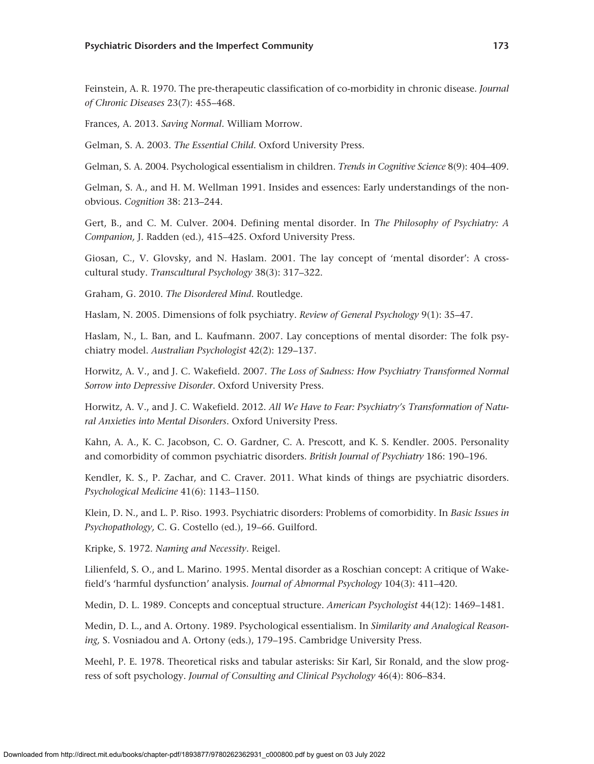Feinstein, A. R. 1970. The pre-therapeutic classification of co-morbidity in chronic disease. *Journal of Chronic Diseases* 23(7): 455–468.

Frances, A. 2013. *Saving Normal*. William Morrow.

Gelman, S. A. 2003. *The Essential Child*. Oxford University Press.

Gelman, S. A. 2004. Psychological essentialism in children. *Trends in Cognitive Science* 8(9): 404–409.

Gelman, S. A., and H. M. Wellman 1991. Insides and essences: Early understandings of the nonobvious. *Cognition* 38: 213–244.

Gert, B., and C. M. Culver. 2004. Defining mental disorder. In *The Philosophy of Psychiatry: A Companion,* J. Radden (ed.), 415–425. Oxford University Press.

Giosan, C., V. Glovsky, and N. Haslam. 2001. The lay concept of 'mental disorder': A crosscultural study. *Transcultural Psychology* 38(3): 317–322.

Graham, G. 2010. *The Disordered Mind*. Routledge.

Haslam, N. 2005. Dimensions of folk psychiatry. *Review of General Psychology* 9(1): 35–47.

Haslam, N., L. Ban, and L. Kaufmann. 2007. Lay conceptions of mental disorder: The folk psychiatry model. *Australian Psychologist* 42(2): 129–137.

Horwitz, A. V., and J. C. Wakefield. 2007. *The Loss of Sadness: How Psychiatry Transformed Normal Sorrow into Depressive Disorder*. Oxford University Press.

Horwitz, A. V., and J. C. Wakefield. 2012. *All We Have to Fear: Psychiatry's Transformation of Natural Anxieties into Mental Disorders*. Oxford University Press.

Kahn, A. A., K. C. Jacobson, C. O. Gardner, C. A. Prescott, and K. S. Kendler. 2005. Personality and comorbidity of common psychiatric disorders. *British Journal of Psychiatry* 186: 190–196.

Kendler, K. S., P. Zachar, and C. Craver. 2011. What kinds of things are psychiatric disorders. *Psychological Medicine* 41(6): 1143–1150.

Klein, D. N., and L. P. Riso. 1993. Psychiatric disorders: Problems of comorbidity. In *Basic Issues in Psychopathology,* C. G. Costello (ed.), 19–66. Guilford.

Kripke, S. 1972. *Naming and Necessity*. Reigel.

Lilienfeld, S. O., and L. Marino. 1995. Mental disorder as a Roschian concept: A critique of Wakefield's 'harmful dysfunction' analysis. *Journal of Abnormal Psychology* 104(3): 411–420.

Medin, D. L. 1989. Concepts and conceptual structure. *American Psychologist* 44(12): 1469–1481.

Medin, D. L., and A. Ortony. 1989. Psychological essentialism. In *Similarity and Analogical Reasoning,* S. Vosniadou and A. Ortony (eds.), 179–195. Cambridge University Press.

Meehl, P. E. 1978. Theoretical risks and tabular asterisks: Sir Karl, Sir Ronald, and the slow progress of soft psychology. *Journal of Consulting and Clinical Psychology* 46(4): 806–834.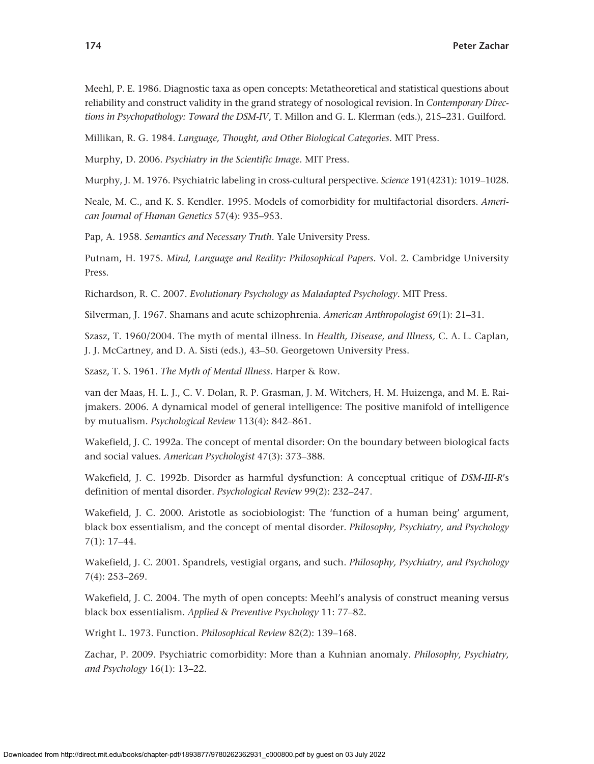Meehl, P. E. 1986. Diagnostic taxa as open concepts: Metatheoretical and statistical questions about reliability and construct validity in the grand strategy of nosological revision. In *Contemporary Directions in Psychopathology: Toward the DSM-IV,* T. Millon and G. L. Klerman (eds.), 215–231. Guilford.

Millikan, R. G. 1984. *Language, Thought, and Other Biological Categories*. MIT Press.

Murphy, D. 2006. *Psychiatry in the Scientific Image*. MIT Press.

Murphy, J. M. 1976. Psychiatric labeling in cross-cultural perspective. *Science* 191(4231): 1019–1028.

Neale, M. C., and K. S. Kendler. 1995. Models of comorbidity for multifactorial disorders. *American Journal of Human Genetics* 57(4): 935–953.

Pap, A. 1958. *Semantics and Necessary Truth*. Yale University Press.

Putnam, H. 1975. *Mind, Language and Reality: Philosophical Papers.* Vol. 2. Cambridge University Press.

Richardson, R. C. 2007. *Evolutionary Psychology as Maladapted Psychology*. MIT Press.

Silverman, J. 1967. Shamans and acute schizophrenia. *American Anthropologist* 69(1): 21–31.

Szasz, T. 1960/2004. The myth of mental illness. In *Health, Disease, and Illness,* C. A. L. Caplan, J. J. McCartney, and D. A. Sisti (eds.), 43–50. Georgetown University Press.

Szasz, T. S. 1961. *The Myth of Mental Illness.* Harper & Row.

van der Maas, H. L. J., C. V. Dolan, R. P. Grasman, J. M. Witchers, H. M. Huizenga, and M. E. Raijmakers. 2006. A dynamical model of general intelligence: The positive manifold of intelligence by mutualism. *Psychological Review* 113(4): 842–861.

Wakefield, J. C. 1992a. The concept of mental disorder: On the boundary between biological facts and social values. *American Psychologist* 47(3): 373–388.

Wakefield, J. C. 1992b. Disorder as harmful dysfunction: A conceptual critique of *DSM-III-R*'s definition of mental disorder. *Psychological Review* 99(2): 232–247.

Wakefield, J. C. 2000. Aristotle as sociobiologist: The 'function of a human being' argument, black box essentialism, and the concept of mental disorder. *Philosophy, Psychiatry, and Psychology* 7(1): 17–44.

Wakefield, J. C. 2001. Spandrels, vestigial organs, and such. *Philosophy, Psychiatry, and Psychology* 7(4): 253–269.

Wakefield, J. C. 2004. The myth of open concepts: Meehl's analysis of construct meaning versus black box essentialism. *Applied & Preventive Psychology* 11: 77–82.

Wright L. 1973. Function. *Philosophical Review* 82(2): 139–168.

Zachar, P. 2009. Psychiatric comorbidity: More than a Kuhnian anomaly. *Philosophy, Psychiatry, and Psychology* 16(1): 13–22.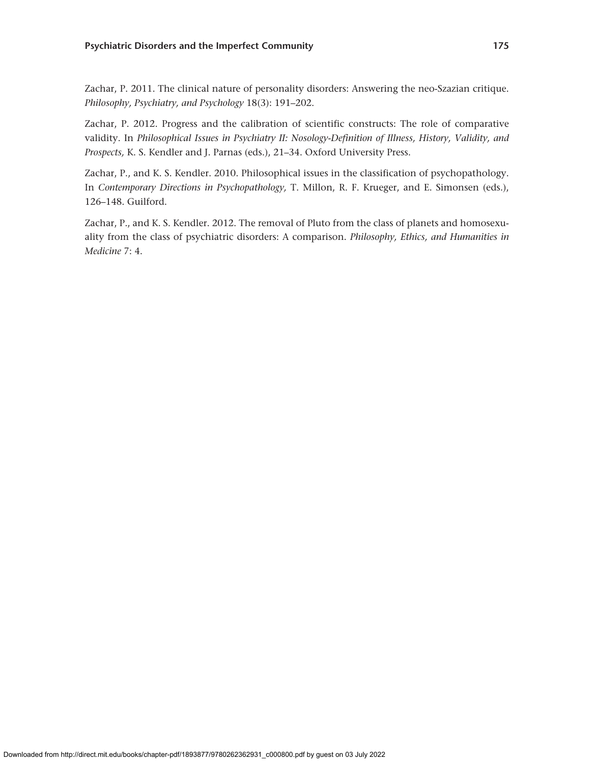Zachar, P. 2011. The clinical nature of personality disorders: Answering the neo-Szazian critique. *Philosophy, Psychiatry, and Psychology* 18(3): 191–202.

Zachar, P. 2012. Progress and the calibration of scientific constructs: The role of comparative validity. In *Philosophical Issues in Psychiatry II: Nosology-Definition of Illness, History, Validity, and Prospects,* K. S. Kendler and J. Parnas (eds.), 21–34. Oxford University Press.

Zachar, P., and K. S. Kendler. 2010. Philosophical issues in the classification of psychopathology. In *Contemporary Directions in Psychopathology,* T. Millon, R. F. Krueger, and E. Simonsen (eds.), 126–148. Guilford.

Zachar, P., and K. S. Kendler. 2012. The removal of Pluto from the class of planets and homosexuality from the class of psychiatric disorders: A comparison. *Philosophy, Ethics, and Humanities in Medicine* 7: 4.